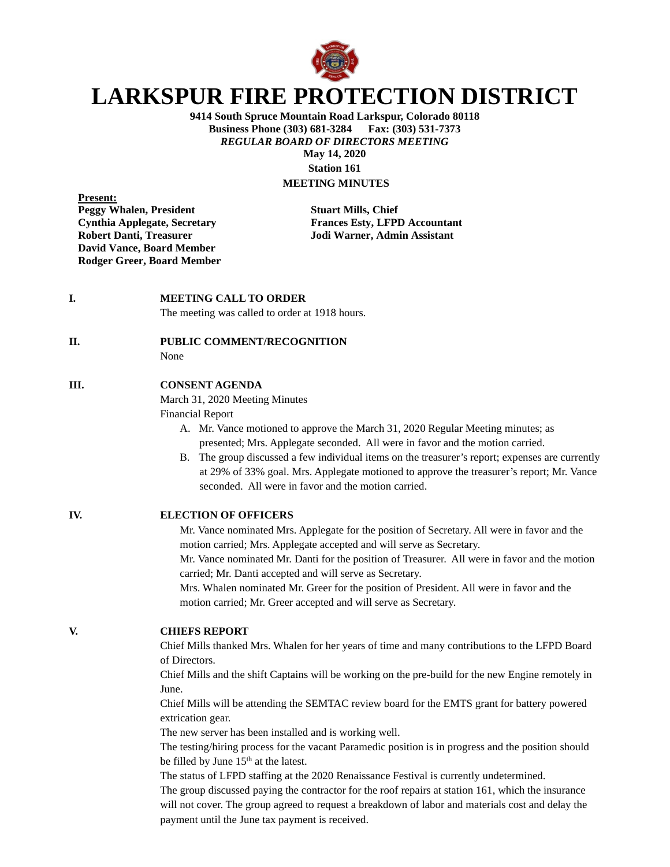

# **LARKSPUR FIRE PROTECTION DISTRICT**

**9414 South Spruce Mountain Road Larkspur, Colorado 80118 Business Phone (303) 681-3284** *REGULAR BOARD OF DIRECTORS MEETING* **May 14, 2020 Station 161**

## **MEETING MINUTES**

**Present: Peggy Whalen, President Stuart Mills, Chief Robert Danti, Treasurer Jodi Warner, Admin Assistant David Vance, Board Member Rodger Greer, Board Member**

**Cynthia Applegate, Secretary Frances Esty, LFPD Accountant**

#### **I. MEETING CALL TO ORDER**

The meeting was called to order at 1918 hours.

#### **II. PUBLIC COMMENT/RECOGNITION**

None

#### **III. CONSENT AGENDA**

March 31, 2020 Meeting Minutes

Financial Report

- A. Mr. Vance motioned to approve the March 31, 2020 Regular Meeting minutes; as presented; Mrs. Applegate seconded. All were in favor and the motion carried.
- B. The group discussed a few individual items on the treasurer's report; expenses are currently at 29% of 33% goal. Mrs. Applegate motioned to approve the treasurer's report; Mr. Vance seconded. All were in favor and the motion carried.

**IV. ELECTION OF OFFICERS**

Mr. Vance nominated Mrs. Applegate for the position of Secretary. All were in favor and the motion carried; Mrs. Applegate accepted and will serve as Secretary. Mr. Vance nominated Mr. Danti for the position of Treasurer. All were in favor and the motion

carried; Mr. Danti accepted and will serve as Secretary.

Mrs. Whalen nominated Mr. Greer for the position of President. All were in favor and the motion carried; Mr. Greer accepted and will serve as Secretary.

#### **V. CHIEFS REPORT**

Chief Mills thanked Mrs. Whalen for her years of time and many contributions to the LFPD Board of Directors.

Chief Mills and the shift Captains will be working on the pre-build for the new Engine remotely in June.

Chief Mills will be attending the SEMTAC review board for the EMTS grant for battery powered extrication gear.

The new server has been installed and is working well.

The testing/hiring process for the vacant Paramedic position is in progress and the position should be filled by June 15<sup>th</sup> at the latest.

The status of LFPD staffing at the 2020 Renaissance Festival is currently undetermined. The group discussed paying the contractor for the roof repairs at station 161, which the insurance will not cover. The group agreed to request a breakdown of labor and materials cost and delay the payment until the June tax payment is received.